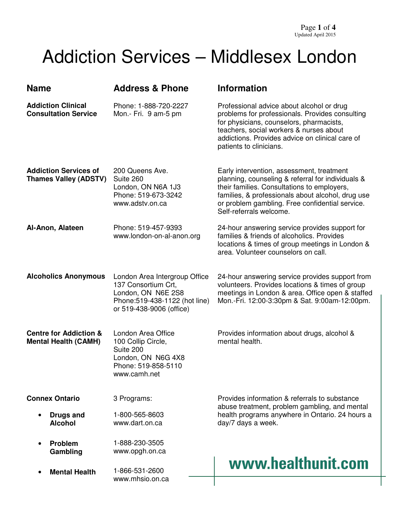## Addiction Services – Middlesex London

| <b>Name</b>                                                      | <b>Address &amp; Phone</b>                                                                                                               | <b>Information</b>                                                                                                                                                                                                                                                               |
|------------------------------------------------------------------|------------------------------------------------------------------------------------------------------------------------------------------|----------------------------------------------------------------------------------------------------------------------------------------------------------------------------------------------------------------------------------------------------------------------------------|
| <b>Addiction Clinical</b><br><b>Consultation Service</b>         | Phone: 1-888-720-2227<br>Mon.- Fri. 9 am-5 pm                                                                                            | Professional advice about alcohol or drug<br>problems for professionals. Provides consulting<br>for physicians, counselors, pharmacists,<br>teachers, social workers & nurses about<br>addictions. Provides advice on clinical care of<br>patients to clinicians.                |
| <b>Addiction Services of</b><br><b>Thames Valley (ADSTV)</b>     | 200 Queens Ave.<br>Suite 260<br>London, ON N6A 1J3<br>Phone: 519-673-3242<br>www.adstv.on.ca                                             | Early intervention, assessment, treatment<br>planning, counseling & referral for individuals &<br>their families. Consultations to employers,<br>families, & professionals about alcohol, drug use<br>or problem gambling. Free confidential service.<br>Self-referrals welcome. |
| Al-Anon, Alateen                                                 | Phone: 519-457-9393<br>www.london-on-al-anon.org                                                                                         | 24-hour answering service provides support for<br>families & friends of alcoholics. Provides<br>locations & times of group meetings in London &<br>area. Volunteer counselors on call.                                                                                           |
| <b>Alcoholics Anonymous</b>                                      | London Area Intergroup Office<br>137 Consortium Crt,<br>London, ON N6E 2S8<br>Phone: 519-438-1122 (hot line)<br>or 519-438-9006 (office) | 24-hour answering service provides support from<br>volunteers. Provides locations & times of group<br>meetings in London & area. Office open & staffed<br>Mon.-Fri. 12:00-3:30pm & Sat. 9:00am-12:00pm.                                                                          |
| <b>Centre for Addiction &amp;</b><br><b>Mental Health (CAMH)</b> | London Area Office<br>100 Collip Circle,<br>Suite 200<br>London, ON N6G 4X8<br>Phone: 519-858-5110<br>www.camh.net                       | Provides information about drugs, alcohol &<br>mental health.                                                                                                                                                                                                                    |
| <b>Connex Ontario</b>                                            | 3 Programs:                                                                                                                              | Provides information & referrals to substance                                                                                                                                                                                                                                    |
| <b>Drugs and</b><br><b>Alcohol</b>                               | 1-800-565-8603<br>www.dart.on.ca                                                                                                         | abuse treatment, problem gambling, and mental<br>health programs anywhere in Ontario. 24 hours a<br>day/7 days a week.                                                                                                                                                           |
| <b>Problem</b><br>Gambling                                       | 1-888-230-3505<br>www.opgh.on.ca                                                                                                         |                                                                                                                                                                                                                                                                                  |
| <b>Mental Health</b>                                             | 1-866-531-2600<br>www.mhsio.on.ca                                                                                                        | www.healthunit.com                                                                                                                                                                                                                                                               |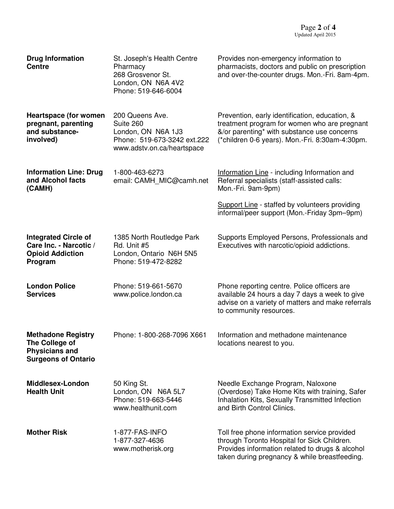| <b>Drug Information</b><br><b>Centre</b>                                                           | St. Joseph's Health Centre<br>Pharmacy<br>268 Grosvenor St.<br>London, ON N6A 4V2<br>Phone: 519-646-6004        | Provides non-emergency information to<br>pharmacists, doctors and public on prescription<br>and over-the-counter drugs. Mon.-Fri. 8am-4pm.                                                       |
|----------------------------------------------------------------------------------------------------|-----------------------------------------------------------------------------------------------------------------|--------------------------------------------------------------------------------------------------------------------------------------------------------------------------------------------------|
| <b>Heartspace (for women</b><br>pregnant, parenting<br>and substance-<br>involved)                 | 200 Queens Ave.<br>Suite 260<br>London, ON N6A 1J3<br>Phone: 519-673-3242 ext.222<br>www.adstv.on.ca/heartspace | Prevention, early identification, education, &<br>treatment program for women who are pregnant<br>&/or parenting* with substance use concerns<br>(*children 0-6 years). Mon.-Fri. 8:30am-4:30pm. |
| <b>Information Line: Drug</b><br>and Alcohol facts<br>(CAMH)                                       | 1-800-463-6273<br>email: CAMH MIC@camh.net                                                                      | Information Line - including Information and<br>Referral specialists (staff-assisted calls:<br>Mon.-Fri. 9am-9pm)                                                                                |
|                                                                                                    |                                                                                                                 | Support Line - staffed by volunteers providing<br>informal/peer support (Mon.-Friday 3pm-9pm)                                                                                                    |
| <b>Integrated Circle of</b><br>Care Inc. - Narcotic /<br><b>Opioid Addiction</b><br>Program        | 1385 North Routledge Park<br>Rd. Unit #5<br>London, Ontario N6H 5N5<br>Phone: 519-472-8282                      | Supports Employed Persons, Professionals and<br>Executives with narcotic/opioid addictions.                                                                                                      |
| <b>London Police</b><br><b>Services</b>                                                            | Phone: 519-661-5670<br>www.police.london.ca                                                                     | Phone reporting centre. Police officers are<br>available 24 hours a day 7 days a week to give<br>advise on a variety of matters and make referrals<br>to community resources.                    |
| <b>Methadone Registry</b><br>The College of<br><b>Physicians and</b><br><b>Surgeons of Ontario</b> | Phone: 1-800-268-7096 X661                                                                                      | Information and methadone maintenance<br>locations nearest to you.                                                                                                                               |
| Middlesex-London<br><b>Health Unit</b>                                                             | 50 King St.<br>London, ON N6A 5L7<br>Phone: 519-663-5446<br>www.healthunit.com                                  | Needle Exchange Program, Naloxone<br>(Overdose) Take Home Kits with training, Safer<br>Inhalation Kits, Sexually Transmitted Infection<br>and Birth Control Clinics.                             |
| <b>Mother Risk</b>                                                                                 | 1-877-FAS-INFO<br>1-877-327-4636<br>www.motherisk.org                                                           | Toll free phone information service provided<br>through Toronto Hospital for Sick Children.<br>Provides information related to drugs & alcohol<br>taken during pregnancy & while breastfeeding.  |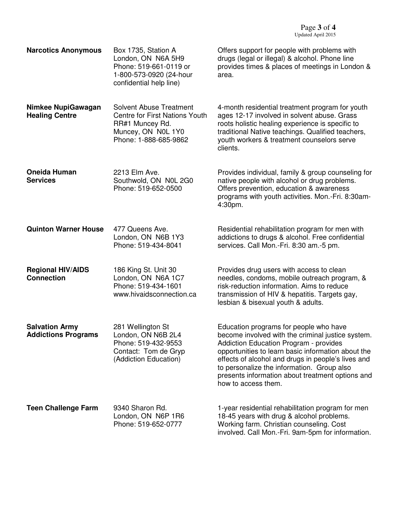| <b>Narcotics Anonymous</b>                          | Box 1735, Station A<br>London, ON N6A 5H9<br>Phone: 519-661-0119 or<br>1-800-573-0920 (24-hour<br>confidential help line)                 | Offers support for people with problems with<br>drugs (legal or illegal) & alcohol. Phone line<br>provides times & places of meetings in London &<br>area.                                                                                                                                                                                                                        |
|-----------------------------------------------------|-------------------------------------------------------------------------------------------------------------------------------------------|-----------------------------------------------------------------------------------------------------------------------------------------------------------------------------------------------------------------------------------------------------------------------------------------------------------------------------------------------------------------------------------|
| Nimkee NupiGawagan<br><b>Healing Centre</b>         | <b>Solvent Abuse Treatment</b><br><b>Centre for First Nations Youth</b><br>RR#1 Muncey Rd.<br>Muncey, ON N0L 1Y0<br>Phone: 1-888-685-9862 | 4-month residential treatment program for youth<br>ages 12-17 involved in solvent abuse. Grass<br>roots holistic healing experience is specific to<br>traditional Native teachings. Qualified teachers,<br>youth workers & treatment counselors serve<br>clients.                                                                                                                 |
| <b>Oneida Human</b><br><b>Services</b>              | 2213 Elm Ave.<br>Southwold, ON N0L 2G0<br>Phone: 519-652-0500                                                                             | Provides individual, family & group counseling for<br>native people with alcohol or drug problems.<br>Offers prevention, education & awareness<br>programs with youth activities. Mon.-Fri. 8:30am-<br>4:30pm.                                                                                                                                                                    |
| <b>Quinton Warner House</b>                         | 477 Queens Ave.<br>London, ON N6B 1Y3<br>Phone: 519-434-8041                                                                              | Residential rehabilitation program for men with<br>addictions to drugs & alcohol. Free confidential<br>services. Call Mon.-Fri. 8:30 am.-5 pm.                                                                                                                                                                                                                                    |
| <b>Regional HIV/AIDS</b><br><b>Connection</b>       | 186 King St. Unit 30<br>London, ON N6A 1C7<br>Phone: 519-434-1601<br>www.hivaidsconnection.ca                                             | Provides drug users with access to clean<br>needles, condoms, mobile outreach program, &<br>risk-reduction information. Aims to reduce<br>transmission of HIV & hepatitis. Targets gay,<br>lesbian & bisexual youth & adults.                                                                                                                                                     |
| <b>Salvation Army</b><br><b>Addictions Programs</b> | 281 Wellington St<br>London, ON N6B 2L4<br>Phone: 519-432-9553<br>Contact: Tom de Gryp<br>(Addiction Education)                           | Education programs for people who have<br>become involved with the criminal justice system.<br><b>Addiction Education Program - provides</b><br>opportunities to learn basic information about the<br>effects of alcohol and drugs in people's lives and<br>to personalize the information. Group also<br>presents information about treatment options and<br>how to access them. |
| <b>Teen Challenge Farm</b>                          | 9340 Sharon Rd.<br>London, ON N6P 1R6<br>Phone: 519-652-0777                                                                              | 1-year residential rehabilitation program for men<br>18-45 years with drug & alcohol problems.<br>Working farm. Christian counseling. Cost<br>involved. Call Mon.-Fri. 9am-5pm for information.                                                                                                                                                                                   |